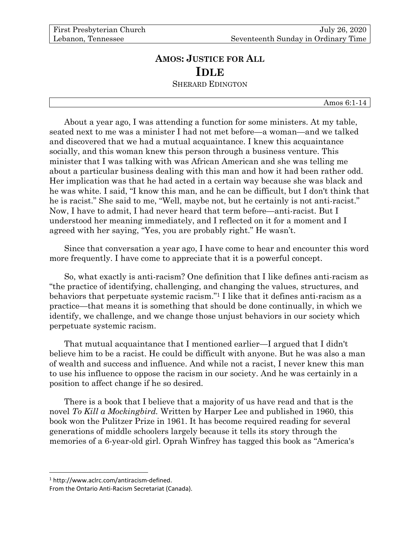## **AMOS: JUSTICE FOR ALL IDLE** SHERARD EDINGTON

Amos 6:1-14

About a year ago, I was attending a function for some ministers. At my table, seated next to me was a minister I had not met before—a woman—and we talked and discovered that we had a mutual acquaintance. I knew this acquaintance socially, and this woman knew this person through a business venture. This minister that I was talking with was African American and she was telling me about a particular business dealing with this man and how it had been rather odd. Her implication was that he had acted in a certain way because she was black and he was white. I said, "I know this man, and he can be difficult, but I don't think that he is racist." She said to me, "Well, maybe not, but he certainly is not anti-racist." Now, I have to admit, I had never heard that term before—anti-racist. But I understood her meaning immediately, and I reflected on it for a moment and I agreed with her saying, "Yes, you are probably right." He wasn't.

Since that conversation a year ago, I have come to hear and encounter this word more frequently. I have come to appreciate that it is a powerful concept.

So, what exactly is anti-racism? One definition that I like defines anti-racism as "the practice of identifying, challenging, and changing the values, structures, and behaviors that perpetuate systemic racism." <sup>1</sup> I like that it defines anti-racism as a practice—that means it is something that should be done continually, in which we identify, we challenge, and we change those unjust behaviors in our society which perpetuate systemic racism.

That mutual acquaintance that I mentioned earlier—I argued that I didn't believe him to be a racist. He could be difficult with anyone. But he was also a man of wealth and success and influence. And while not a racist, I never knew this man to use his influence to oppose the racism in our society. And he was certainly in a position to affect change if he so desired.

There is a book that I believe that a majority of us have read and that is the novel *To Kill a Mockingbird.* Written by Harper Lee and published in 1960, this book won the Pulitzer Prize in 1961. It has become required reading for several generations of middle schoolers largely because it tells its story through the memories of a 6-year-old girl. Oprah Winfrey has tagged this book as "America's

<sup>1</sup> http://www.aclrc.com/antiracism-defined.

From the Ontario Anti-Racism Secretariat (Canada).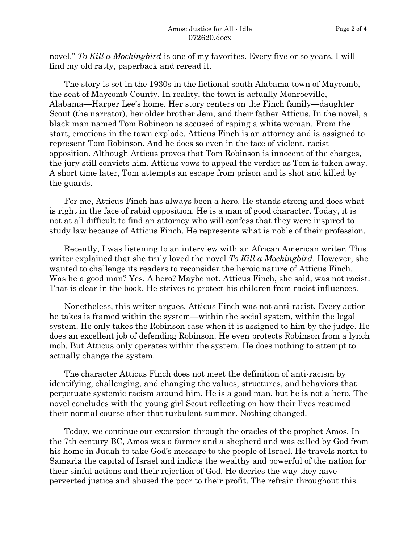novel." *To Kill a Mockingbird* is one of my favorites. Every five or so years, I will find my old ratty, paperback and reread it.

The story is set in the 1930s in the fictional south Alabama town of Maycomb, the seat of Maycomb County. In reality, the town is actually Monroeville, Alabama—Harper Lee's home. Her story centers on the Finch family—daughter Scout (the narrator), her older brother Jem, and their father Atticus. In the novel, a black man named Tom Robinson is accused of raping a white woman. From the start, emotions in the town explode. Atticus Finch is an attorney and is assigned to represent Tom Robinson. And he does so even in the face of violent, racist opposition. Although Atticus proves that Tom Robinson is innocent of the charges, the jury still convicts him. Atticus vows to appeal the verdict as Tom is taken away. A short time later, Tom attempts an escape from prison and is shot and killed by the guards.

For me, Atticus Finch has always been a hero. He stands strong and does what is right in the face of rabid opposition. He is a man of good character. Today, it is not at all difficult to find an attorney who will confess that they were inspired to study law because of Atticus Finch. He represents what is noble of their profession.

Recently, I was listening to an interview with an African American writer. This writer explained that she truly loved the novel *To Kill a Mockingbird*. However, she wanted to challenge its readers to reconsider the heroic nature of Atticus Finch. Was he a good man? Yes. A hero? Maybe not. Atticus Finch, she said, was not racist. That is clear in the book. He strives to protect his children from racist influences.

Nonetheless, this writer argues, Atticus Finch was not anti-racist. Every action he takes is framed within the system—within the social system, within the legal system. He only takes the Robinson case when it is assigned to him by the judge. He does an excellent job of defending Robinson. He even protects Robinson from a lynch mob. But Atticus only operates within the system. He does nothing to attempt to actually change the system.

The character Atticus Finch does not meet the definition of anti-racism by identifying, challenging, and changing the values, structures, and behaviors that perpetuate systemic racism around him. He is a good man, but he is not a hero. The novel concludes with the young girl Scout reflecting on how their lives resumed their normal course after that turbulent summer. Nothing changed.

Today, we continue our excursion through the oracles of the prophet Amos. In the 7th century BC, Amos was a farmer and a shepherd and was called by God from his home in Judah to take God's message to the people of Israel. He travels north to Samaria the capital of Israel and indicts the wealthy and powerful of the nation for their sinful actions and their rejection of God. He decries the way they have perverted justice and abused the poor to their profit. The refrain throughout this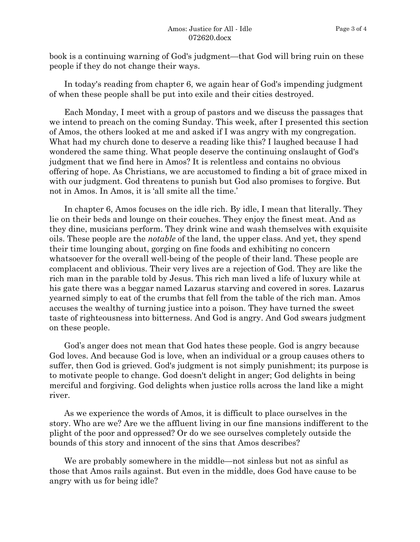book is a continuing warning of God's judgment—that God will bring ruin on these people if they do not change their ways.

In today's reading from chapter 6, we again hear of God's impending judgment of when these people shall be put into exile and their cities destroyed.

Each Monday, I meet with a group of pastors and we discuss the passages that we intend to preach on the coming Sunday. This week, after I presented this section of Amos, the others looked at me and asked if I was angry with my congregation. What had my church done to deserve a reading like this? I laughed because I had wondered the same thing. What people deserve the continuing onslaught of God's judgment that we find here in Amos? It is relentless and contains no obvious offering of hope. As Christians, we are accustomed to finding a bit of grace mixed in with our judgment. God threatens to punish but God also promises to forgive. But not in Amos. In Amos, it is 'all smite all the time.'

In chapter 6, Amos focuses on the idle rich. By idle, I mean that literally. They lie on their beds and lounge on their couches. They enjoy the finest meat. And as they dine, musicians perform. They drink wine and wash themselves with exquisite oils. These people are the *notable* of the land, the upper class. And yet, they spend their time lounging about, gorging on fine foods and exhibiting no concern whatsoever for the overall well-being of the people of their land. These people are complacent and oblivious. Their very lives are a rejection of God. They are like the rich man in the parable told by Jesus. This rich man lived a life of luxury while at his gate there was a beggar named Lazarus starving and covered in sores. Lazarus yearned simply to eat of the crumbs that fell from the table of the rich man. Amos accuses the wealthy of turning justice into a poison. They have turned the sweet taste of righteousness into bitterness. And God is angry. And God swears judgment on these people.

God's anger does not mean that God hates these people. God is angry because God loves. And because God is love, when an individual or a group causes others to suffer, then God is grieved. God's judgment is not simply punishment; its purpose is to motivate people to change. God doesn't delight in anger; God delights in being merciful and forgiving. God delights when justice rolls across the land like a might river.

As we experience the words of Amos, it is difficult to place ourselves in the story. Who are we? Are we the affluent living in our fine mansions indifferent to the plight of the poor and oppressed? Or do we see ourselves completely outside the bounds of this story and innocent of the sins that Amos describes?

We are probably somewhere in the middle—not sinless but not as sinful as those that Amos rails against. But even in the middle, does God have cause to be angry with us for being idle?